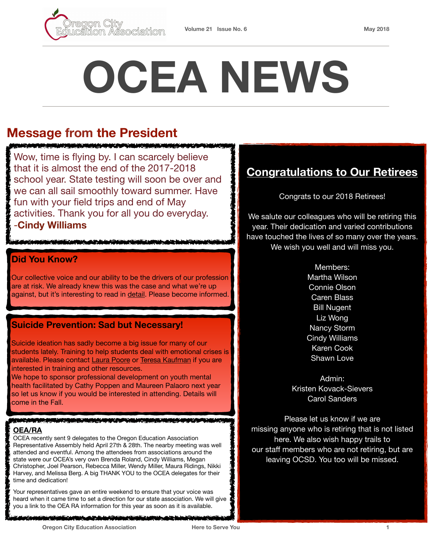

# **OCEA NEWS**

# **Message from the President**

<u>ATA NG MATATANG MANAGEMENTAL NA MANAGEMENT A</u> Wow, time is flying by. I can scarcely believe that it is almost the end of the 2017-2018 school year. State testing will soon be over and we can all sail smoothly toward summer. Have fun with your field trips and end of May activities. Thank you for all you do everyday.

-**Cindy Williams**

#### **Did You Know?**

Our collective voice and our ability to be the drivers of our profession are at risk. We already knew this was the case and what we're up against, but it's interesting to read in [detail.](https://www.theguardian.com/us-news/2018/may/15/rightwing-thinktanks-secret-plot-against-unions?CMP=Share_iOSApp_Other) Please become informed.

#### **Suicide Prevention: Sad but Necessary!**

Suicide ideation has sadly become a big issue for many of our students lately. Training to help students deal with emotional crises is available. Please contact [Laura Poore](mailto:laura.poore@orecity.k12.or.us?subject=Suicide%20Prevention%20Training) or [Teresa Kaufman](mailto:teresa.kaufman@orecity.k12.or.us?subject=Suicide%20Prevention%20Training) if you are interested in training and other resources.

We hope to sponsor professional development on youth mental health facilitated by Cathy Poppen and Maureen Palaoro next year so let us know if you would be interested in attending. Details will come in the Fall.

#### **THE REAL PROPERTY AND**

#### **OEA/RA**

OCEA recently sent 9 delegates to the Oregon Education Association Representative Assembly held April 27th & 28th. The nearby meeting was well attended and eventful. Among the attendees from associations around the state were our OCEA's very own Brenda Roland, Cindy Williams, Megan Christopher, Joel Pearson, Rebecca Miller, Wendy Miller, Maura Ridings, Nikki Harvey, and Melissa Berg. A big THANK YOU to the OCEA delegates for their time and dedication!

Your representatives gave an entire weekend to ensure that your voice was heard when it came time to set a direction for our state association. We will give you a link to the OEA RA information for this year as soon as it is available.

**CONTRACTOR** COMPANY AND CONTRACTOR OF THE RESIDENCE OF THE RESIDENCE OF THE RESIDENCE OF THE RESIDENCE OF THE RESIDENCE OF THE RESIDENCE OF THE RESIDENCE OF THE RESIDENCE OF THE RESIDENCE OF THE RESIDENCE OF THE RESIDENCE

# **Congratulations to Our Retirees**

Congrats to our 2018 Retirees!

We salute our colleagues who will be retiring this year. Their dedication and varied contributions have touched the lives of so many over the years. We wish you well and will miss you.

#### Members:

Martha Wilson Connie Olson Caren Blass Bill Nugent Liz Wong Nancy Storm Cindy Williams Karen Cook Shawn Love

Admin: Kristen Kovack-Sievers Carol Sanders

Please let us know if we are missing anyone who is retiring that is not listed here. We also wish happy trails to our staff members who are not retiring, but are leaving OCSD. You too will be missed.

**Oregon City Education Association Here to Serve You 1**